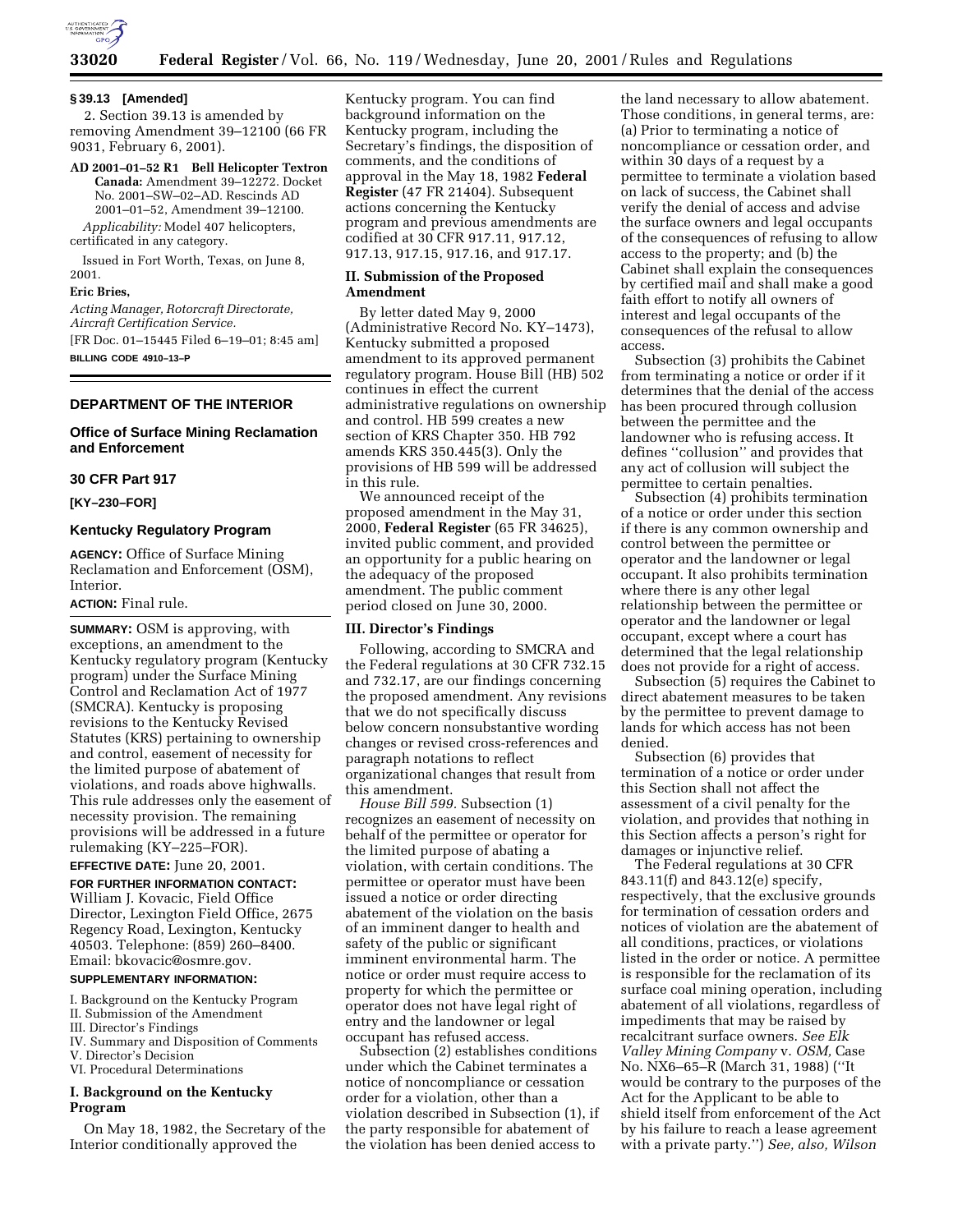

#### **§ 39.13 [Amended]**

2. Section 39.13 is amended by removing Amendment 39–12100 (66 FR 9031, February 6, 2001).

**AD 2001–01–52 R1 Bell Helicopter Textron Canada:** Amendment 39–12272. Docket No. 2001–SW–02–AD. Rescinds AD 2001–01–52, Amendment 39–12100. *Applicability:* Model 407 helicopters,

certificated in any category. Issued in Fort Worth, Texas, on June 8,

# 2001. **Eric Bries,**

*Acting Manager, Rotorcraft Directorate, Aircraft Certification Service.* [FR Doc. 01–15445 Filed 6–19–01; 8:45 am] **BILLING CODE 4910–13–P**

# **DEPARTMENT OF THE INTERIOR**

# **Office of Surface Mining Reclamation and Enforcement**

### **30 CFR Part 917**

**[KY–230–FOR]**

#### **Kentucky Regulatory Program**

**AGENCY:** Office of Surface Mining Reclamation and Enforcement (OSM), Interior.

#### **ACTION:** Final rule.

**SUMMARY:** OSM is approving, with exceptions, an amendment to the Kentucky regulatory program (Kentucky program) under the Surface Mining Control and Reclamation Act of 1977 (SMCRA). Kentucky is proposing revisions to the Kentucky Revised Statutes (KRS) pertaining to ownership and control, easement of necessity for the limited purpose of abatement of violations, and roads above highwalls. This rule addresses only the easement of necessity provision. The remaining provisions will be addressed in a future rulemaking (KY–225–FOR).

# **EFFECTIVE DATE:** June 20, 2001.

**FOR FURTHER INFORMATION CONTACT:** William J. Kovacic, Field Office Director, Lexington Field Office, 2675 Regency Road, Lexington, Kentucky 40503. Telephone: (859) 260–8400. Email: bkovacic@osmre.gov.

# **SUPPLEMENTARY INFORMATION:**

- I. Background on the Kentucky Program
- II. Submission of the Amendment
- III. Director's Findings
- IV. Summary and Disposition of Comments
- V. Director's Decision VI. Procedural Determinations
- 

# **I. Background on the Kentucky Program**

On May 18, 1982, the Secretary of the Interior conditionally approved the

Kentucky program. You can find background information on the Kentucky program, including the Secretary's findings, the disposition of comments, and the conditions of approval in the May 18, 1982 **Federal Register** (47 FR 21404). Subsequent actions concerning the Kentucky program and previous amendments are codified at 30 CFR 917.11, 917.12, 917.13, 917.15, 917.16, and 917.17.

### **II. Submission of the Proposed Amendment**

By letter dated May 9, 2000 (Administrative Record No. KY–1473), Kentucky submitted a proposed amendment to its approved permanent regulatory program. House Bill (HB) 502 continues in effect the current administrative regulations on ownership and control. HB 599 creates a new section of KRS Chapter 350. HB 792 amends KRS 350.445(3). Only the provisions of HB 599 will be addressed in this rule.

We announced receipt of the proposed amendment in the May 31, 2000, **Federal Register** (65 FR 34625), invited public comment, and provided an opportunity for a public hearing on the adequacy of the proposed amendment. The public comment period closed on June 30, 2000.

### **III. Director's Findings**

Following, according to SMCRA and the Federal regulations at 30 CFR 732.15 and 732.17, are our findings concerning the proposed amendment. Any revisions that we do not specifically discuss below concern nonsubstantive wording changes or revised cross-references and paragraph notations to reflect organizational changes that result from this amendment.

*House Bill 599.* Subsection (1) recognizes an easement of necessity on behalf of the permittee or operator for the limited purpose of abating a violation, with certain conditions. The permittee or operator must have been issued a notice or order directing abatement of the violation on the basis of an imminent danger to health and safety of the public or significant imminent environmental harm. The notice or order must require access to property for which the permittee or operator does not have legal right of entry and the landowner or legal occupant has refused access.

Subsection (2) establishes conditions under which the Cabinet terminates a notice of noncompliance or cessation order for a violation, other than a violation described in Subsection (1), if the party responsible for abatement of the violation has been denied access to

the land necessary to allow abatement. Those conditions, in general terms, are: (a) Prior to terminating a notice of noncompliance or cessation order, and within 30 days of a request by a permittee to terminate a violation based on lack of success, the Cabinet shall verify the denial of access and advise the surface owners and legal occupants of the consequences of refusing to allow access to the property; and (b) the Cabinet shall explain the consequences by certified mail and shall make a good faith effort to notify all owners of interest and legal occupants of the consequences of the refusal to allow access.

Subsection (3) prohibits the Cabinet from terminating a notice or order if it determines that the denial of the access has been procured through collusion between the permittee and the landowner who is refusing access. It defines ''collusion'' and provides that any act of collusion will subject the permittee to certain penalties.

Subsection (4) prohibits termination of a notice or order under this section if there is any common ownership and control between the permittee or operator and the landowner or legal occupant. It also prohibits termination where there is any other legal relationship between the permittee or operator and the landowner or legal occupant, except where a court has determined that the legal relationship does not provide for a right of access.

Subsection (5) requires the Cabinet to direct abatement measures to be taken by the permittee to prevent damage to lands for which access has not been denied.

Subsection (6) provides that termination of a notice or order under this Section shall not affect the assessment of a civil penalty for the violation, and provides that nothing in this Section affects a person's right for damages or injunctive relief.

The Federal regulations at 30 CFR 843.11(f) and 843.12(e) specify, respectively, that the exclusive grounds for termination of cessation orders and notices of violation are the abatement of all conditions, practices, or violations listed in the order or notice. A permittee is responsible for the reclamation of its surface coal mining operation, including abatement of all violations, regardless of impediments that may be raised by recalcitrant surface owners. *See Elk Valley Mining Company* v. *OSM,* Case No. NX6–65–R (March 31, 1988) (''It would be contrary to the purposes of the Act for the Applicant to be able to shield itself from enforcement of the Act by his failure to reach a lease agreement with a private party.'') *See, also, Wilson*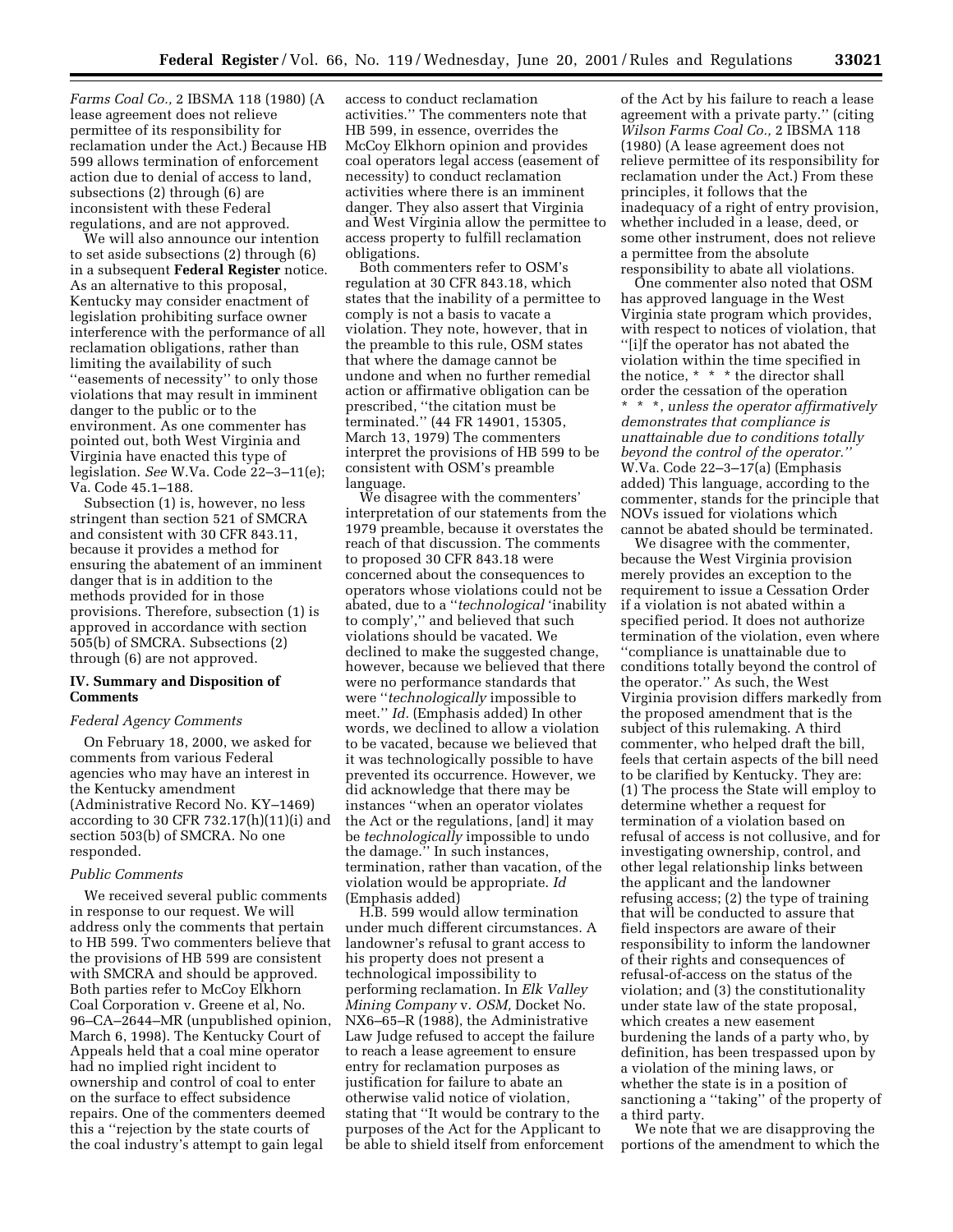*Farms Coal Co.,* 2 IBSMA 118 (1980) (A lease agreement does not relieve permittee of its responsibility for reclamation under the Act.) Because HB 599 allows termination of enforcement action due to denial of access to land, subsections (2) through (6) are inconsistent with these Federal regulations, and are not approved.

We will also announce our intention to set aside subsections (2) through (6) in a subsequent **Federal Register** notice. As an alternative to this proposal, Kentucky may consider enactment of legislation prohibiting surface owner interference with the performance of all reclamation obligations, rather than limiting the availability of such ''easements of necessity'' to only those violations that may result in imminent danger to the public or to the environment. As one commenter has pointed out, both West Virginia and Virginia have enacted this type of legislation. *See* W.Va. Code 22–3–11(e); Va. Code 45.1–188.

Subsection (1) is, however, no less stringent than section 521 of SMCRA and consistent with 30 CFR 843.11, because it provides a method for ensuring the abatement of an imminent danger that is in addition to the methods provided for in those provisions. Therefore, subsection (1) is approved in accordance with section 505(b) of SMCRA. Subsections (2) through (6) are not approved.

# **IV. Summary and Disposition of Comments**

#### *Federal Agency Comments*

On February 18, 2000, we asked for comments from various Federal agencies who may have an interest in the Kentucky amendment (Administrative Record No. KY–1469) according to 30 CFR 732.17(h)(11)(i) and section 503(b) of SMCRA. No one responded.

#### *Public Comments*

We received several public comments in response to our request. We will address only the comments that pertain to HB 599. Two commenters believe that the provisions of HB 599 are consistent with SMCRA and should be approved. Both parties refer to McCoy Elkhorn Coal Corporation v. Greene et al, No. 96–CA–2644–MR (unpublished opinion, March 6, 1998). The Kentucky Court of Appeals held that a coal mine operator had no implied right incident to ownership and control of coal to enter on the surface to effect subsidence repairs. One of the commenters deemed this a ''rejection by the state courts of the coal industry's attempt to gain legal

access to conduct reclamation activities.'' The commenters note that HB 599, in essence, overrides the McCoy Elkhorn opinion and provides coal operators legal access (easement of necessity) to conduct reclamation activities where there is an imminent danger. They also assert that Virginia and West Virginia allow the permittee to access property to fulfill reclamation obligations.

Both commenters refer to OSM's regulation at 30 CFR 843.18, which states that the inability of a permittee to comply is not a basis to vacate a violation. They note, however, that in the preamble to this rule, OSM states that where the damage cannot be undone and when no further remedial action or affirmative obligation can be prescribed, ''the citation must be terminated.'' (44 FR 14901, 15305, March 13, 1979) The commenters interpret the provisions of HB 599 to be consistent with OSM's preamble language.

We disagree with the commenters' interpretation of our statements from the 1979 preamble, because it overstates the reach of that discussion. The comments to proposed 30 CFR 843.18 were concerned about the consequences to operators whose violations could not be abated, due to a ''*technological* 'inability to comply','' and believed that such violations should be vacated. We declined to make the suggested change, however, because we believed that there were no performance standards that were ''*technologically* impossible to meet.'' *Id.* (Emphasis added) In other words, we declined to allow a violation to be vacated, because we believed that it was technologically possible to have prevented its occurrence. However, we did acknowledge that there may be instances ''when an operator violates the Act or the regulations, [and] it may be *technologically* impossible to undo the damage.'' In such instances, termination, rather than vacation, of the violation would be appropriate. *Id* (Emphasis added)

H.B. 599 would allow termination under much different circumstances. A landowner's refusal to grant access to his property does not present a technological impossibility to performing reclamation. In *Elk Valley Mining Company* v. *OSM,* Docket No. NX6–65–R (1988), the Administrative Law Judge refused to accept the failure to reach a lease agreement to ensure entry for reclamation purposes as justification for failure to abate an otherwise valid notice of violation, stating that ''It would be contrary to the purposes of the Act for the Applicant to be able to shield itself from enforcement

of the Act by his failure to reach a lease agreement with a private party.'' (citing *Wilson Farms Coal Co.,* 2 IBSMA 118 (1980) (A lease agreement does not relieve permittee of its responsibility for reclamation under the Act.) From these principles, it follows that the inadequacy of a right of entry provision, whether included in a lease, deed, or some other instrument, does not relieve a permittee from the absolute responsibility to abate all violations.

One commenter also noted that OSM has approved language in the West Virginia state program which provides, with respect to notices of violation, that ''[i]f the operator has not abated the violation within the time specified in the notice, \* \* \* the director shall order the cessation of the operation \* \* \*, *unless the operator affirmatively demonstrates that compliance is unattainable due to conditions totally beyond the control of the operator.''* W.Va. Code 22–3–17(a) (Emphasis added) This language, according to the commenter, stands for the principle that NOVs issued for violations which cannot be abated should be terminated.

We disagree with the commenter, because the West Virginia provision merely provides an exception to the requirement to issue a Cessation Order if a violation is not abated within a specified period. It does not authorize termination of the violation, even where ''compliance is unattainable due to conditions totally beyond the control of the operator.'' As such, the West Virginia provision differs markedly from the proposed amendment that is the subject of this rulemaking. A third commenter, who helped draft the bill, feels that certain aspects of the bill need to be clarified by Kentucky. They are: (1) The process the State will employ to determine whether a request for termination of a violation based on refusal of access is not collusive, and for investigating ownership, control, and other legal relationship links between the applicant and the landowner refusing access; (2) the type of training that will be conducted to assure that field inspectors are aware of their responsibility to inform the landowner of their rights and consequences of refusal-of-access on the status of the violation; and (3) the constitutionality under state law of the state proposal, which creates a new easement burdening the lands of a party who, by definition, has been trespassed upon by a violation of the mining laws, or whether the state is in a position of sanctioning a ''taking'' of the property of a third party.

We note that we are disapproving the portions of the amendment to which the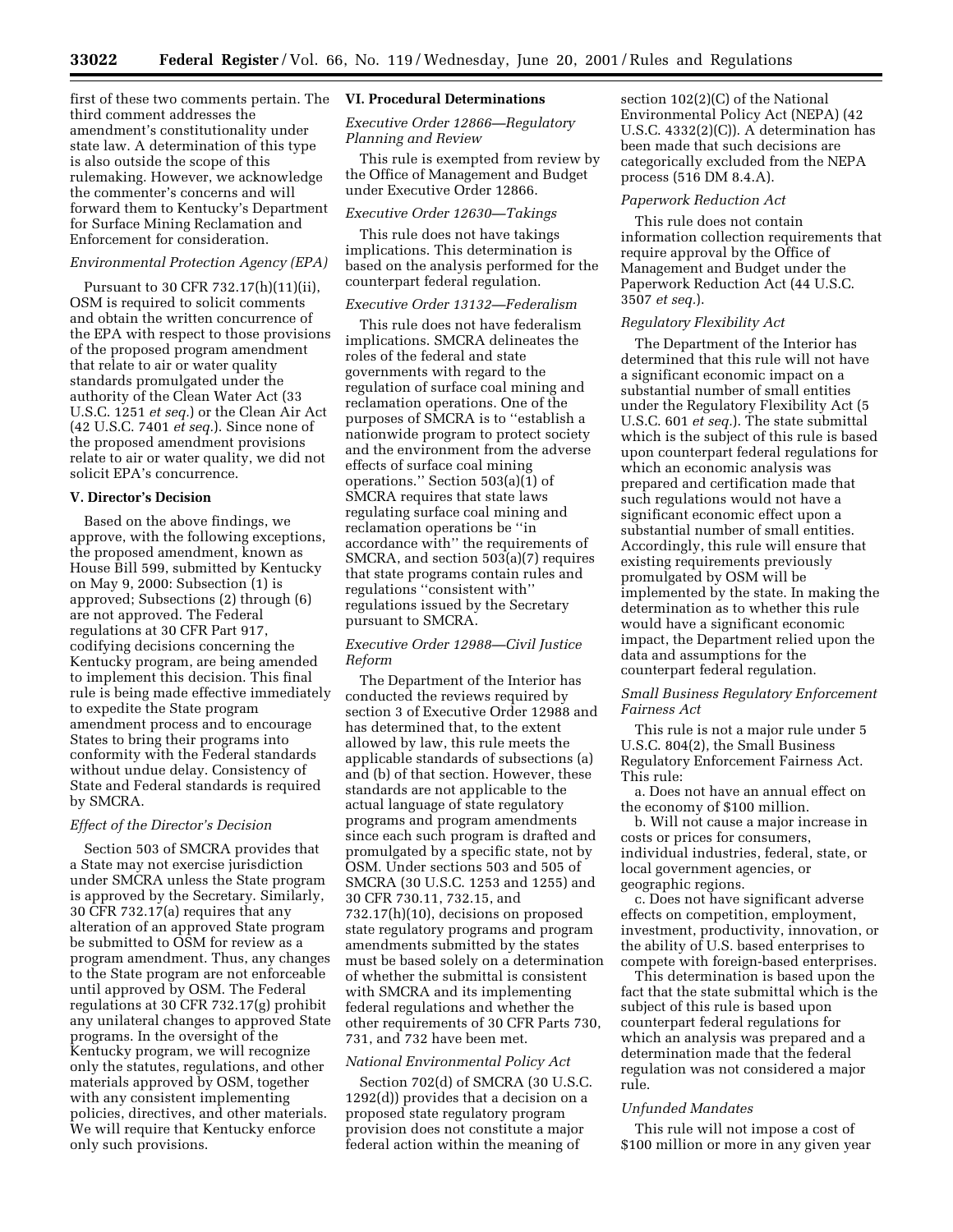first of these two comments pertain. The third comment addresses the amendment's constitutionality under state law. A determination of this type is also outside the scope of this rulemaking. However, we acknowledge the commenter's concerns and will forward them to Kentucky's Department for Surface Mining Reclamation and Enforcement for consideration.

### *Environmental Protection Agency (EPA)*

Pursuant to 30 CFR 732.17(h)(11)(ii), OSM is required to solicit comments and obtain the written concurrence of the EPA with respect to those provisions of the proposed program amendment that relate to air or water quality standards promulgated under the authority of the Clean Water Act (33 U.S.C. 1251 *et seq.*) or the Clean Air Act (42 U.S.C. 7401 *et seq.*). Since none of the proposed amendment provisions relate to air or water quality, we did not solicit EPA's concurrence.

### **V. Director's Decision**

Based on the above findings, we approve, with the following exceptions, the proposed amendment, known as House Bill 599, submitted by Kentucky on May 9, 2000: Subsection (1) is approved; Subsections (2) through (6) are not approved. The Federal regulations at 30 CFR Part 917, codifying decisions concerning the Kentucky program, are being amended to implement this decision. This final rule is being made effective immediately to expedite the State program amendment process and to encourage States to bring their programs into conformity with the Federal standards without undue delay. Consistency of State and Federal standards is required by SMCRA.

#### *Effect of the Director's Decision*

Section 503 of SMCRA provides that a State may not exercise jurisdiction under SMCRA unless the State program is approved by the Secretary. Similarly, 30 CFR 732.17(a) requires that any alteration of an approved State program be submitted to OSM for review as a program amendment. Thus, any changes to the State program are not enforceable until approved by OSM. The Federal regulations at 30 CFR 732.17(g) prohibit any unilateral changes to approved State programs. In the oversight of the Kentucky program, we will recognize only the statutes, regulations, and other materials approved by OSM, together with any consistent implementing policies, directives, and other materials. We will require that Kentucky enforce only such provisions.

#### **VI. Procedural Determinations**

*Executive Order 12866—Regulatory Planning and Review*

This rule is exempted from review by the Office of Management and Budget under Executive Order 12866.

# *Executive Order 12630—Takings*

This rule does not have takings implications. This determination is based on the analysis performed for the counterpart federal regulation.

#### *Executive Order 13132—Federalism*

This rule does not have federalism implications. SMCRA delineates the roles of the federal and state governments with regard to the regulation of surface coal mining and reclamation operations. One of the purposes of SMCRA is to ''establish a nationwide program to protect society and the environment from the adverse effects of surface coal mining operations.'' Section 503(a)(1) of SMCRA requires that state laws regulating surface coal mining and reclamation operations be ''in accordance with'' the requirements of SMCRA, and section 503(a)(7) requires that state programs contain rules and regulations ''consistent with'' regulations issued by the Secretary pursuant to SMCRA.

# *Executive Order 12988—Civil Justice Reform*

The Department of the Interior has conducted the reviews required by section 3 of Executive Order 12988 and has determined that, to the extent allowed by law, this rule meets the applicable standards of subsections (a) and (b) of that section. However, these standards are not applicable to the actual language of state regulatory programs and program amendments since each such program is drafted and promulgated by a specific state, not by OSM. Under sections 503 and 505 of SMCRA (30 U.S.C. 1253 and 1255) and 30 CFR 730.11, 732.15, and 732.17(h)(10), decisions on proposed state regulatory programs and program amendments submitted by the states must be based solely on a determination of whether the submittal is consistent with SMCRA and its implementing federal regulations and whether the other requirements of 30 CFR Parts 730, 731, and 732 have been met.

#### *National Environmental Policy Act*

Section 702(d) of SMCRA (30 U.S.C. 1292(d)) provides that a decision on a proposed state regulatory program provision does not constitute a major federal action within the meaning of

section 102(2)(C) of the National Environmental Policy Act (NEPA) (42 U.S.C. 4332(2)(C)). A determination has been made that such decisions are categorically excluded from the NEPA process (516 DM 8.4.A).

#### *Paperwork Reduction Act*

This rule does not contain information collection requirements that require approval by the Office of Management and Budget under the Paperwork Reduction Act (44 U.S.C. 3507 *et seq.*).

#### *Regulatory Flexibility Act*

The Department of the Interior has determined that this rule will not have a significant economic impact on a substantial number of small entities under the Regulatory Flexibility Act (5 U.S.C. 601 *et seq.*). The state submittal which is the subject of this rule is based upon counterpart federal regulations for which an economic analysis was prepared and certification made that such regulations would not have a significant economic effect upon a substantial number of small entities. Accordingly, this rule will ensure that existing requirements previously promulgated by OSM will be implemented by the state. In making the determination as to whether this rule would have a significant economic impact, the Department relied upon the data and assumptions for the counterpart federal regulation.

### *Small Business Regulatory Enforcement Fairness Act*

This rule is not a major rule under 5 U.S.C. 804(2), the Small Business Regulatory Enforcement Fairness Act. This rule:

a. Does not have an annual effect on the economy of \$100 million.

b. Will not cause a major increase in costs or prices for consumers, individual industries, federal, state, or local government agencies, or geographic regions.

c. Does not have significant adverse effects on competition, employment, investment, productivity, innovation, or the ability of U.S. based enterprises to compete with foreign-based enterprises.

This determination is based upon the fact that the state submittal which is the subject of this rule is based upon counterpart federal regulations for which an analysis was prepared and a determination made that the federal regulation was not considered a major rule.

#### *Unfunded Mandates*

This rule will not impose a cost of \$100 million or more in any given year